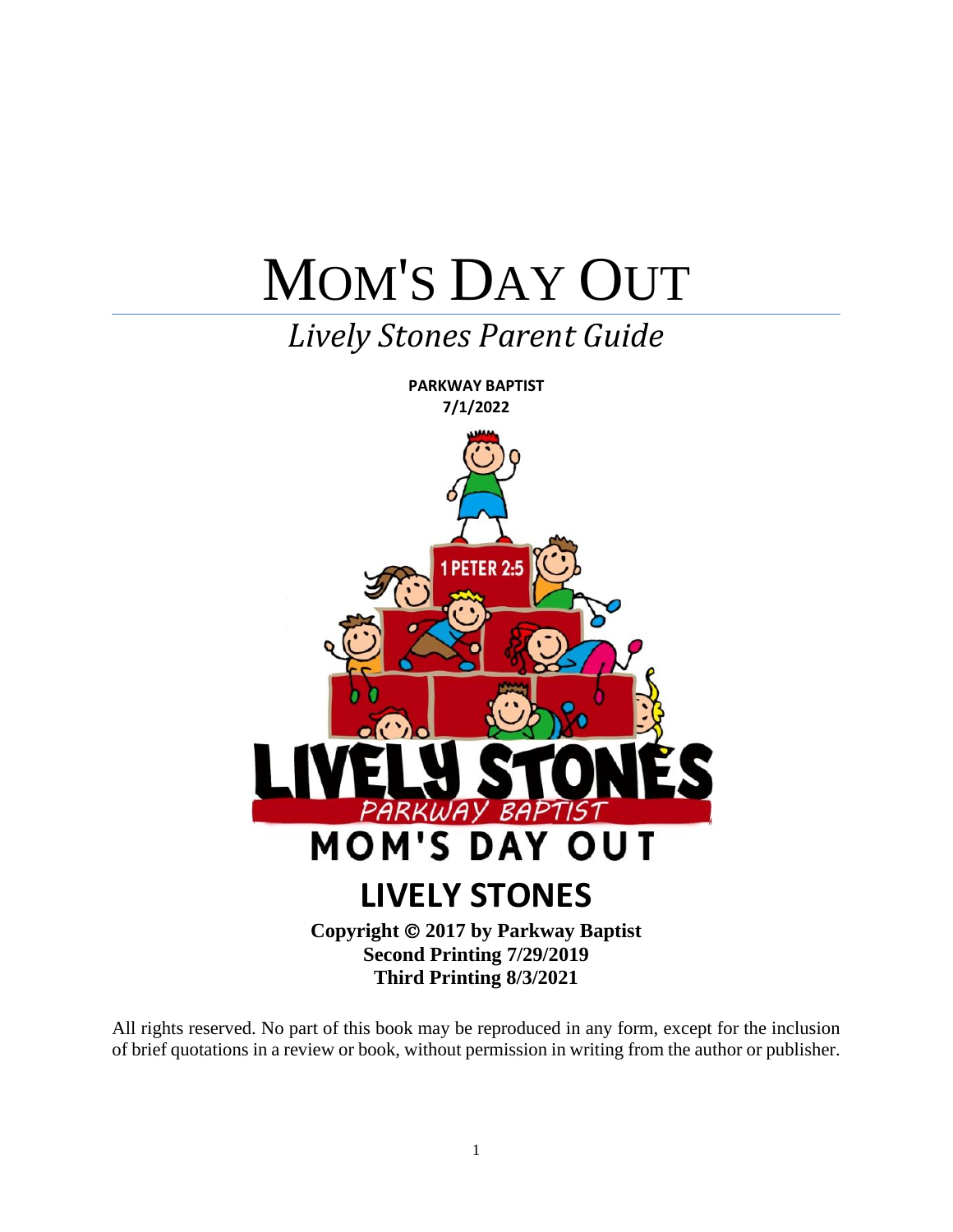# MOM'S DAY OUT

### *Lively Stones Parent Guide*



All rights reserved. No part of this book may be reproduced in any form, except for the inclusion of brief quotations in a review or book, without permission in writing from the author or publisher.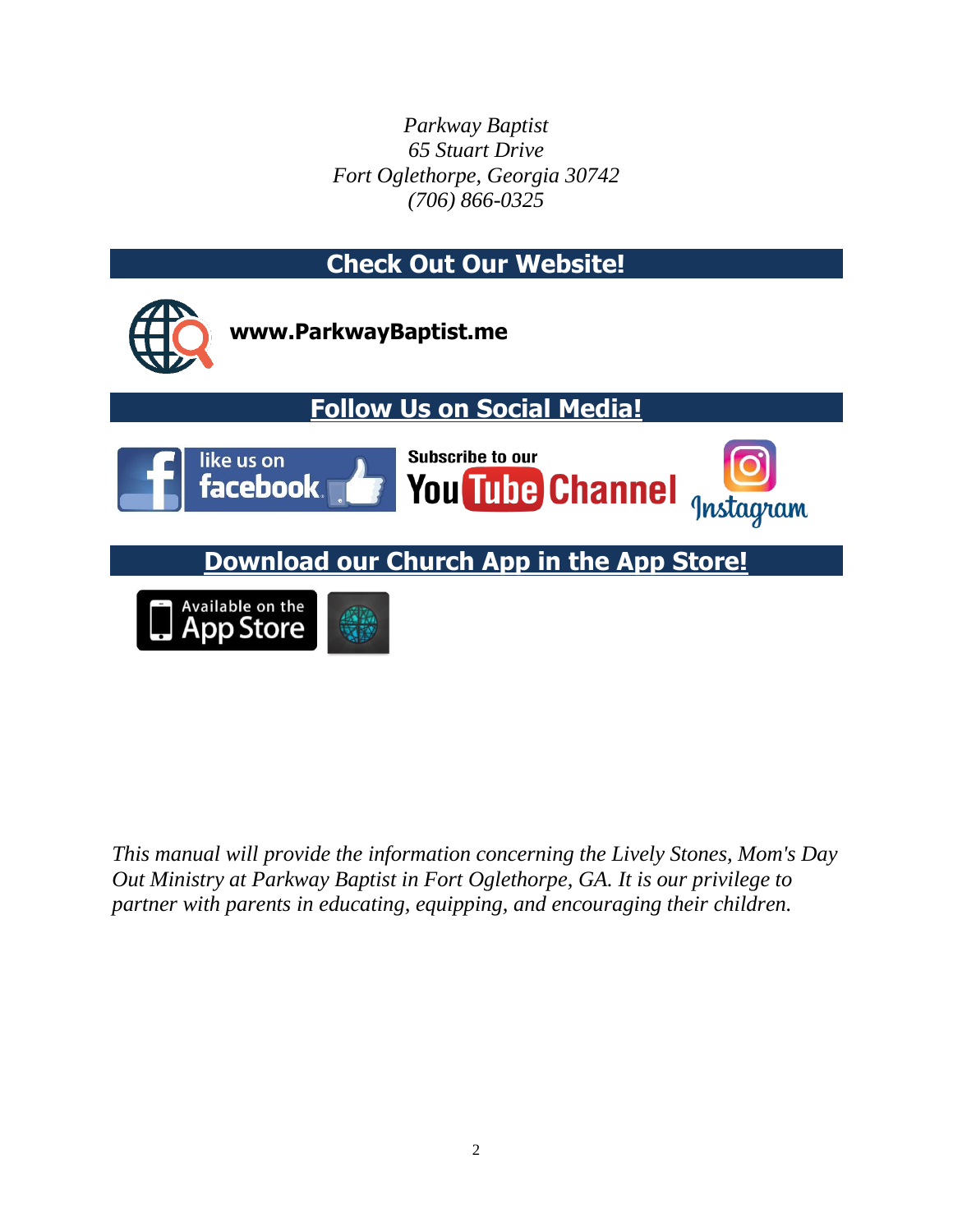*Parkway Baptist 65 Stuart Drive Fort Oglethorpe, Georgia 30742 (706) 866-0325*



*This manual will provide the information concerning the Lively Stones, Mom's Day Out Ministry at Parkway Baptist in Fort Oglethorpe, GA. It is our privilege to partner with parents in educating, equipping, and encouraging their children.*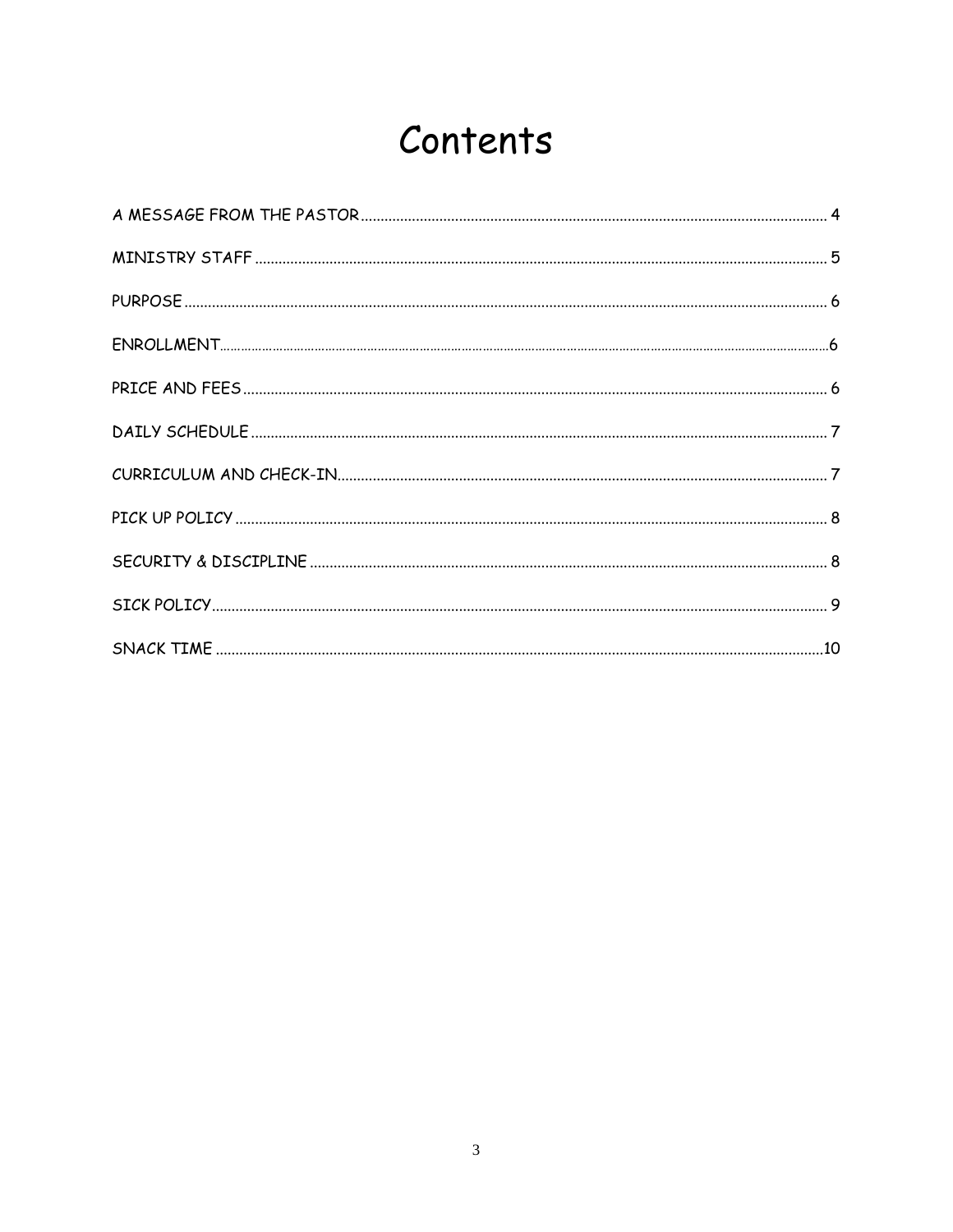### Contents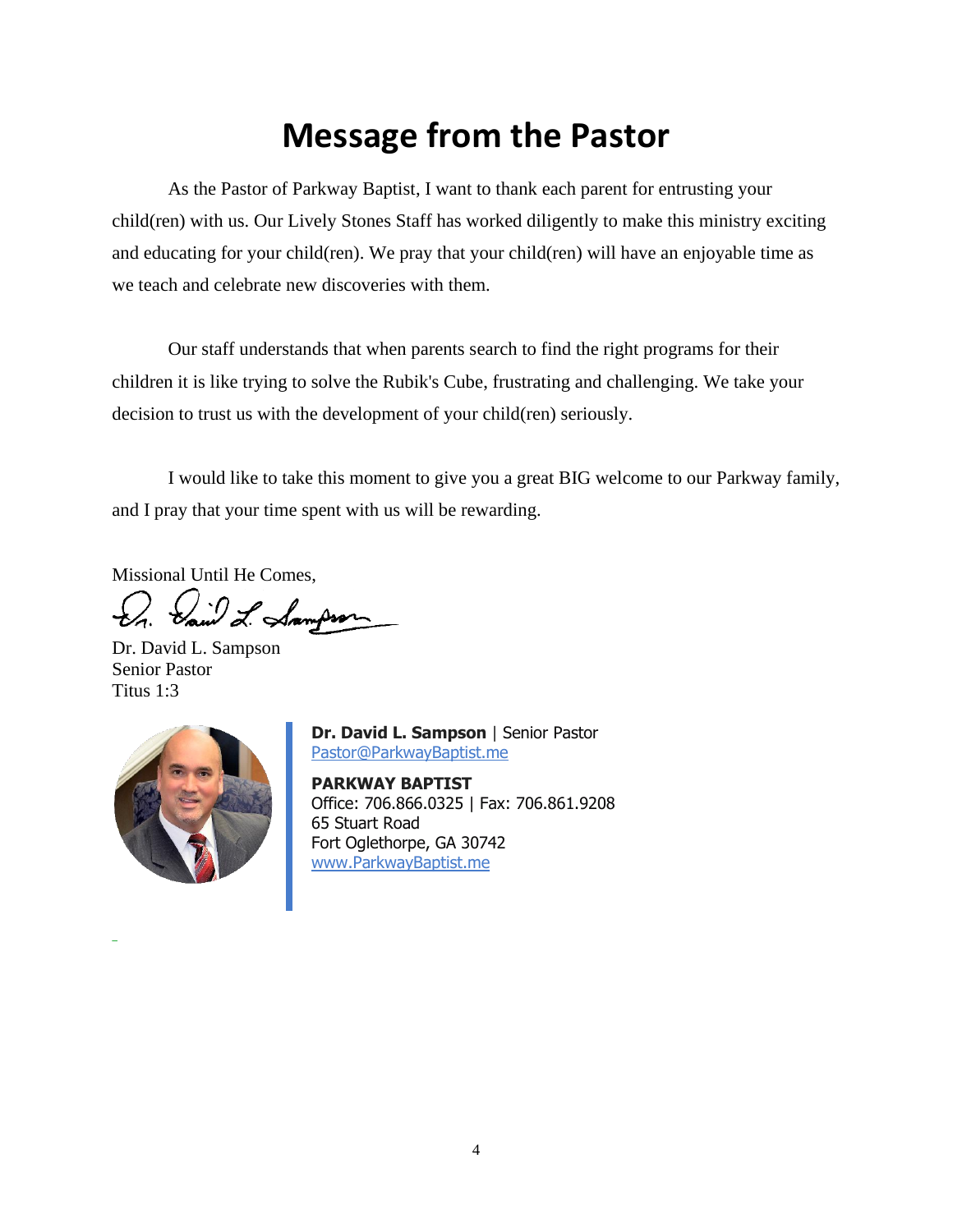### **Message from the Pastor**

As the Pastor of Parkway Baptist, I want to thank each parent for entrusting your child(ren) with us. Our Lively Stones Staff has worked diligently to make this ministry exciting and educating for your child(ren). We pray that your child(ren) will have an enjoyable time as we teach and celebrate new discoveries with them.

Our staff understands that when parents search to find the right programs for their children it is like trying to solve the Rubik's Cube, frustrating and challenging. We take your decision to trust us with the development of your child(ren) seriously.

I would like to take this moment to give you a great BIG welcome to our Parkway family, and I pray that your time spent with us will be rewarding.

Missional Until He Comes,

Sain L. Sampson

Dr. David L. Sampson Senior Pastor Titus 1:3



**Dr. David L. Sampson** | Senior Pastor [Pastor@ParkwayBaptist.me](mailto:Pastor@ParkwayBaptist.me)

**PARKWAY BAPTIST** Office: 706.866.0325 | Fax: 706.861.9208 65 Stuart Road Fort Oglethorpe, GA 30742 [www.ParkwayBaptist.me](http://www.parkwaybaptist.me/)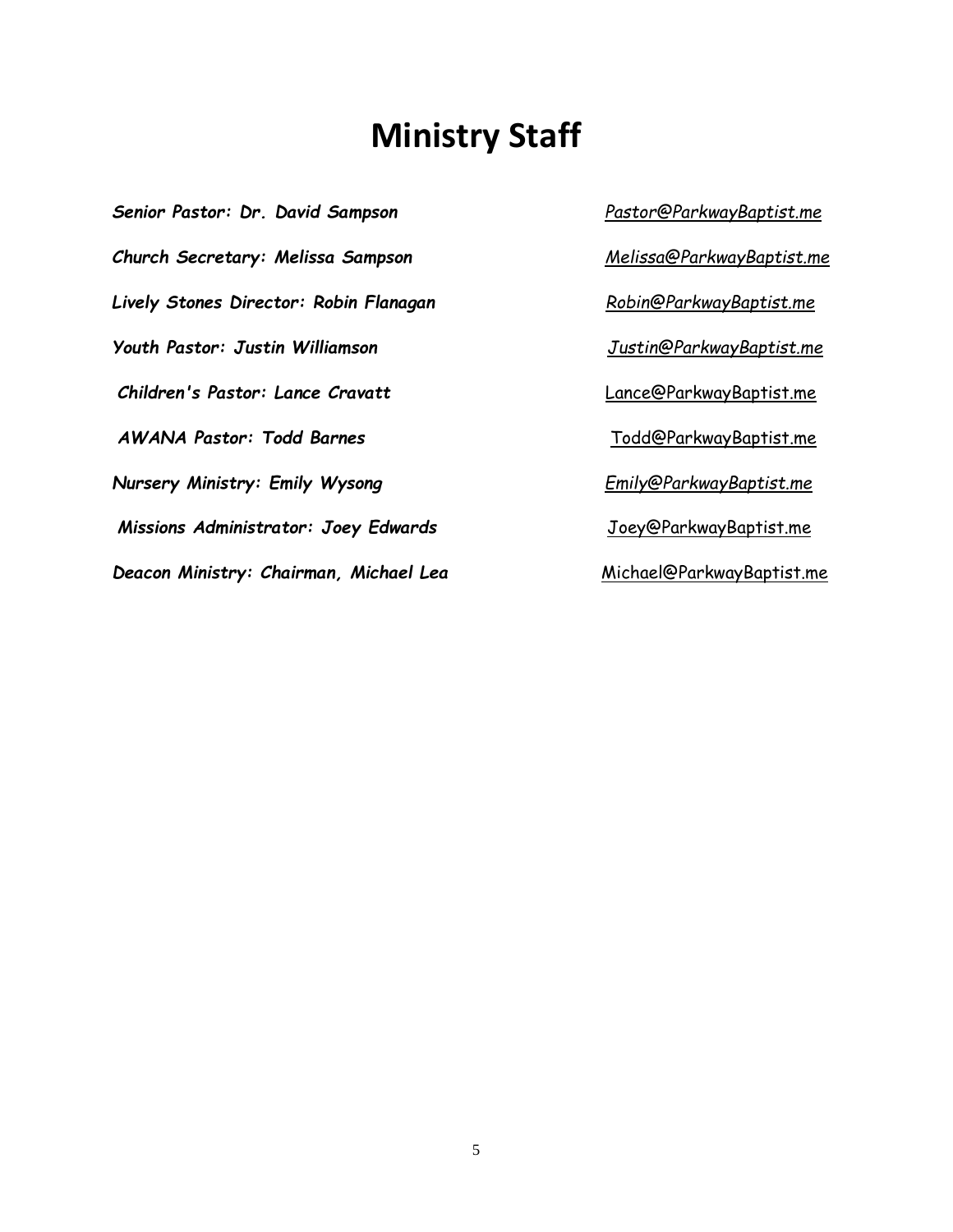### **Ministry Staff**

*Senior Pastor: Dr. David Sampson Pastor@ParkwayBaptist.me Church Secretary: Melissa Sampson Melissa@ParkwayBaptist.me Lively Stones Director: Robin Flanagan Robin@ParkwayBaptist.me Youth Pastor: Justin Williamson Justin@ParkwayBaptist.me Children's Pastor: Lance Cravatt* Lance@ParkwayBaptist.me *AWANA Pastor: Todd Barnes* Todd@ParkwayBaptist.me *Nursery Ministry: Emily Wysong Emily@ParkwayBaptist.me Missions Administrator: Joey Edwards* Joey@ParkwayBaptist.me *Deacon Ministry: Chairman, Michael Lea* Michael@ParkwayBaptist.me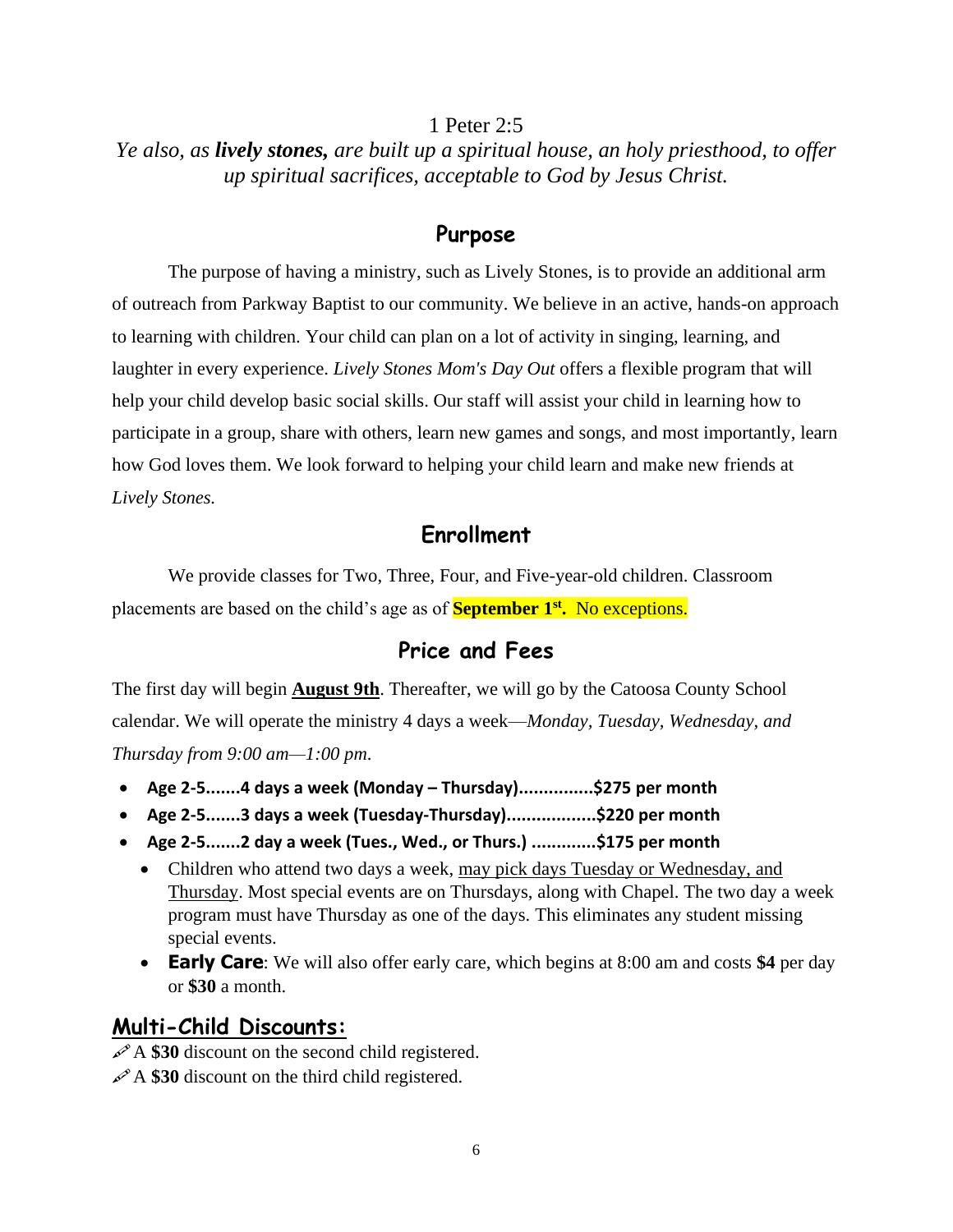#### 1 Peter 2:5

#### *Ye also, as lively stones, are built up a spiritual house, an holy priesthood, to offer up spiritual sacrifices, acceptable to God by Jesus Christ.*

#### **Purpose**

The purpose of having a ministry, such as Lively Stones, is to provide an additional arm of outreach from Parkway Baptist to our community. We believe in an active, hands-on approach to learning with children. Your child can plan on a lot of activity in singing, learning, and laughter in every experience. *Lively Stones Mom's Day Out* offers a flexible program that will help your child develop basic social skills. Our staff will assist your child in learning how to participate in a group, share with others, learn new games and songs, and most importantly, learn how God loves them. We look forward to helping your child learn and make new friends at *Lively Stones.* 

#### **Enrollment**

We provide classes for Two, Three, Four, and Five-year-old children. Classroom placements are based on the child's age as of **September 1st .** No exceptions.

#### **Price and Fees**

The first day will begin **August 9th**. Thereafter, we will go by the Catoosa County School calendar. We will operate the ministry 4 days a week—*Monday, Tuesday, Wednesday, and Thursday from 9:00 am—1:00 pm*.

- **Age 2-5.......4 days a week (Monday – Thursday)...............\$275 per month**
- **Age 2-5.......3 days a week (Tuesday-Thursday)..................\$220 per month**
- **Age 2-5.......2 day a week (Tues., Wed., or Thurs.) .............\$175 per month**
	- Children who attend two days a week, may pick days Tuesday or Wednesday, and Thursday. Most special events are on Thursdays, along with Chapel. The two day a week program must have Thursday as one of the days. This eliminates any student missing special events.
	- **Early Care**: We will also offer early care, which begins at 8:00 am and costs **\$4** per day or **\$30** a month.

#### **Multi-Child Discounts:**

A \$30 discount on the second child registered.

A \$30 discount on the third child registered.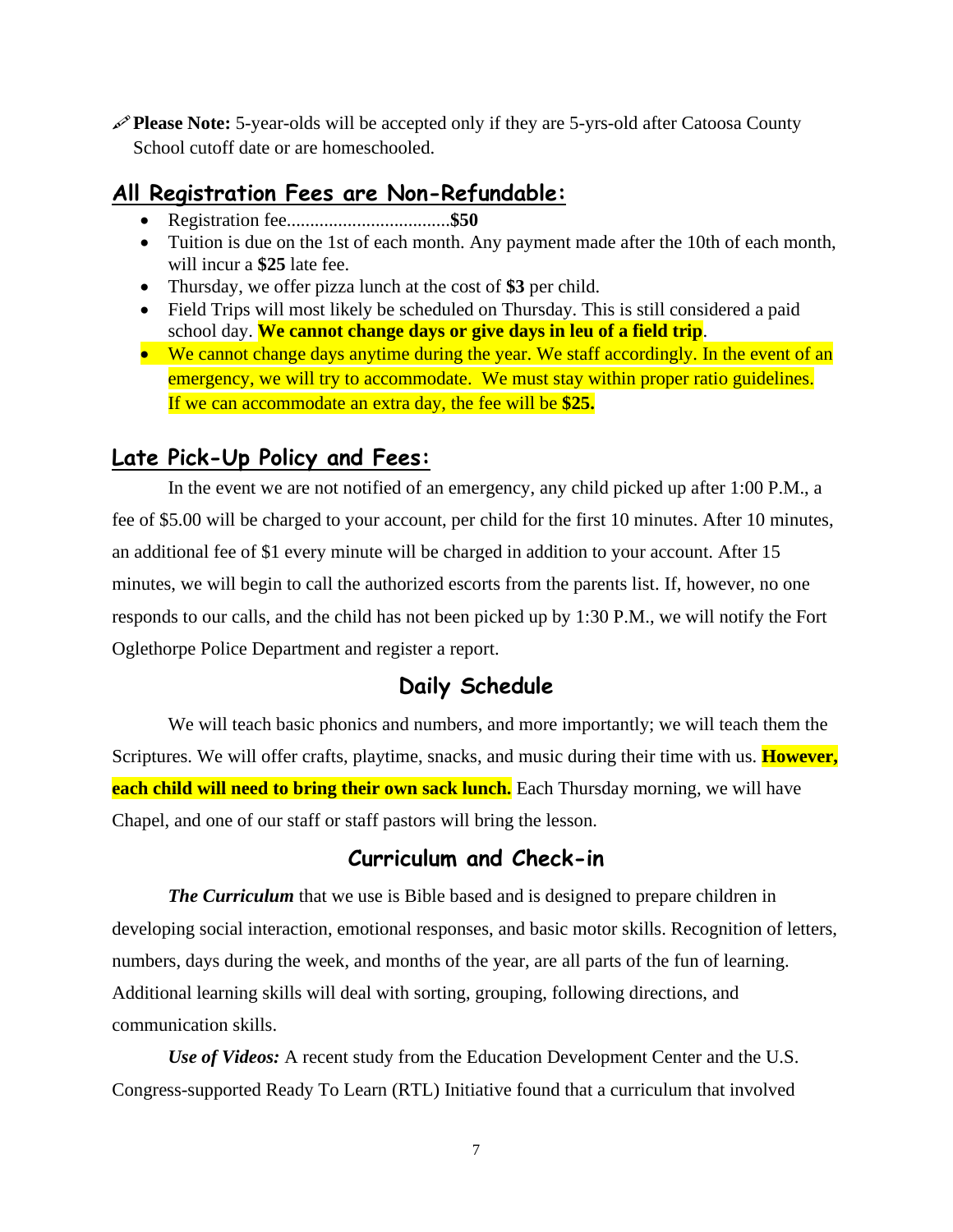**Please Note:** 5-year-olds will be accepted only if they are 5-yrs-old after Catoosa County School cutoff date or are homeschooled.

#### **All Registration Fees are Non-Refundable:**

- Registration fee...................................**\$50**
- Tuition is due on the 1st of each month. Any payment made after the 10th of each month, will incur a **\$25** late fee.
- Thursday, we offer pizza lunch at the cost of **\$3** per child.
- Field Trips will most likely be scheduled on Thursday. This is still considered a paid school day. **We cannot change days or give days in leu of a field trip**.
- We cannot change days anytime during the year. We staff accordingly. In the event of an emergency, we will try to accommodate. We must stay within proper ratio guidelines. If we can accommodate an extra day, the fee will be **\$25.**

#### **Late Pick-Up Policy and Fees:**

In the event we are not notified of an emergency, any child picked up after 1:00 P.M., a fee of \$5.00 will be charged to your account, per child for the first 10 minutes. After 10 minutes, an additional fee of \$1 every minute will be charged in addition to your account. After 15 minutes, we will begin to call the authorized escorts from the parents list. If, however, no one responds to our calls, and the child has not been picked up by 1:30 P.M., we will notify the Fort Oglethorpe Police Department and register a report.

#### **Daily Schedule**

We will teach basic phonics and numbers, and more importantly; we will teach them the Scriptures. We will offer crafts, playtime, snacks, and music during their time with us. **However, each child will need to bring their own sack lunch.** Each Thursday morning, we will have Chapel, and one of our staff or staff pastors will bring the lesson.

#### **Curriculum and Check-in**

*The Curriculum* that we use is Bible based and is designed to prepare children in developing social interaction, emotional responses, and basic motor skills. Recognition of letters, numbers, days during the week, and months of the year, are all parts of the fun of learning. Additional learning skills will deal with sorting, grouping, following directions, and communication skills.

*Use of Videos:* A recent study from the Education Development Center and the U.S. Congress-supported Ready To Learn (RTL) Initiative found that a curriculum that involved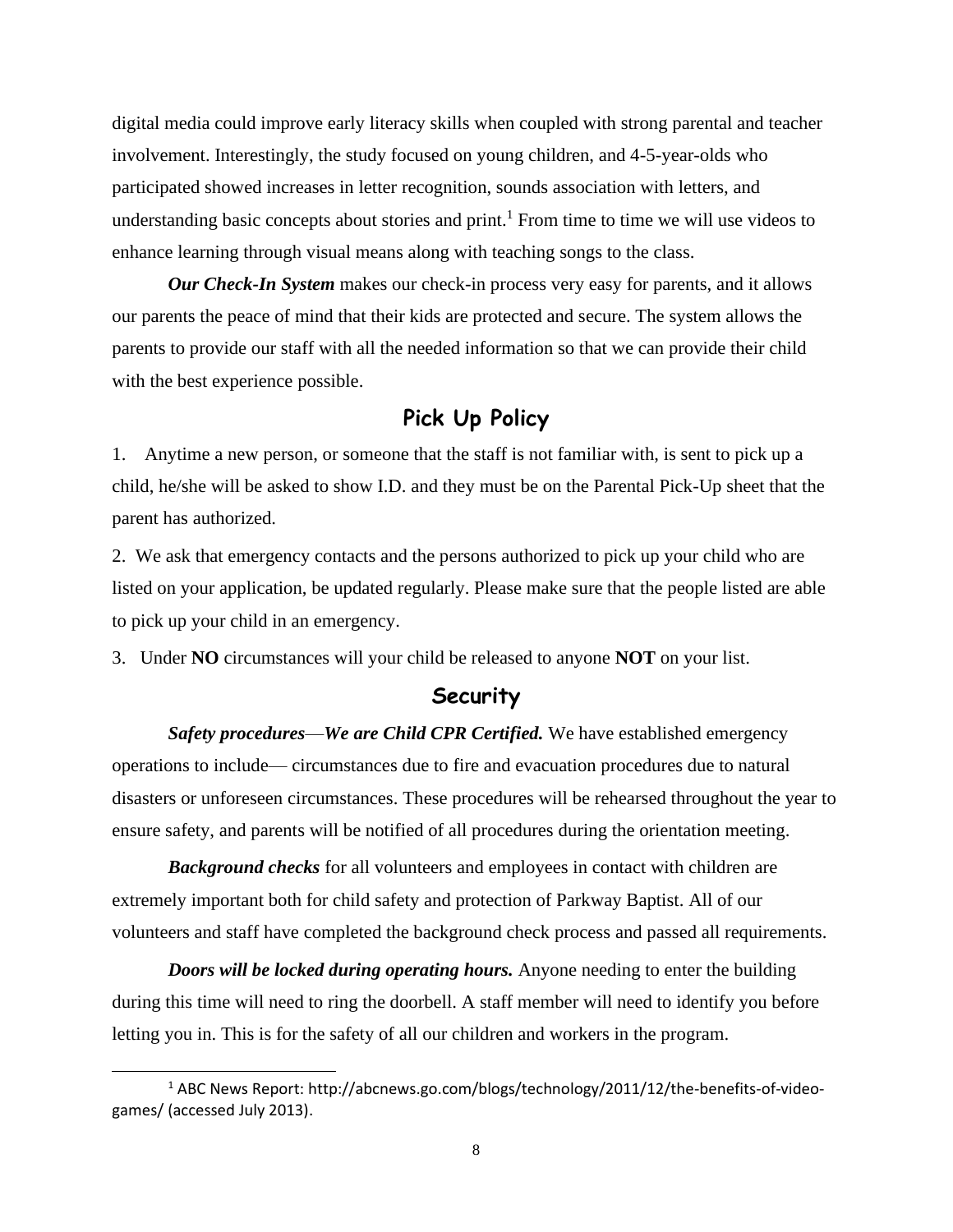digital media could improve early literacy skills when coupled with strong parental and teacher involvement. Interestingly, the study focused on young children, and 4-5-year-olds who participated showed increases in letter recognition, sounds association with letters, and understanding basic concepts about stories and print.<sup>1</sup> From time to time we will use videos to enhance learning through visual means along with teaching songs to the class.

*Our Check-In System* makes our check-in process very easy for parents, and it allows our parents the peace of mind that their kids are protected and secure. The system allows the parents to provide our staff with all the needed information so that we can provide their child with the best experience possible.

#### **Pick Up Policy**

1. Anytime a new person, or someone that the staff is not familiar with, is sent to pick up a child, he/she will be asked to show I.D. and they must be on the Parental Pick-Up sheet that the parent has authorized.

2. We ask that emergency contacts and the persons authorized to pick up your child who are listed on your application, be updated regularly. Please make sure that the people listed are able to pick up your child in an emergency.

3. Under **NO** circumstances will your child be released to anyone **NOT** on your list.

#### **Security**

*Safety procedures*—*We are Child CPR Certified.* We have established emergency operations to include— circumstances due to fire and evacuation procedures due to natural disasters or unforeseen circumstances. These procedures will be rehearsed throughout the year to ensure safety, and parents will be notified of all procedures during the orientation meeting.

*Background checks* for all volunteers and employees in contact with children are extremely important both for child safety and protection of Parkway Baptist. All of our volunteers and staff have completed the background check process and passed all requirements.

*Doors will be locked during operating hours.* Anyone needing to enter the building during this time will need to ring the doorbell. A staff member will need to identify you before letting you in. This is for the safety of all our children and workers in the program.

<sup>1</sup> ABC News Report: http://abcnews.go.com/blogs/technology/2011/12/the-benefits-of-videogames/ (accessed July 2013).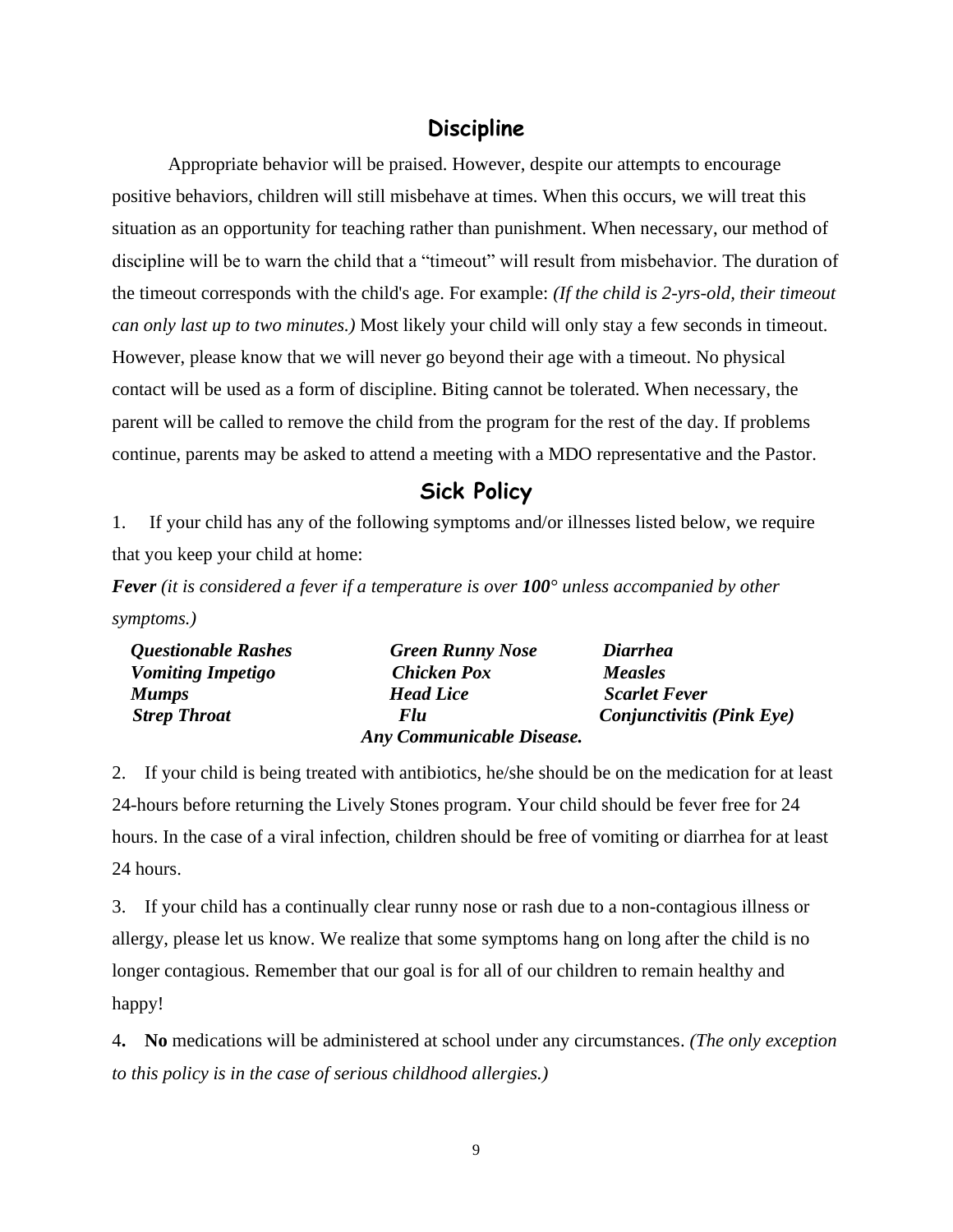#### **Discipline**

Appropriate behavior will be praised. However, despite our attempts to encourage positive behaviors, children will still misbehave at times. When this occurs, we will treat this situation as an opportunity for teaching rather than punishment. When necessary, our method of discipline will be to warn the child that a "timeout" will result from misbehavior. The duration of the timeout corresponds with the child's age. For example: *(If the child is 2-yrs-old, their timeout can only last up to two minutes.)* Most likely your child will only stay a few seconds in timeout. However, please know that we will never go beyond their age with a timeout. No physical contact will be used as a form of discipline. Biting cannot be tolerated. When necessary, the parent will be called to remove the child from the program for the rest of the day. If problems continue, parents may be asked to attend a meeting with a MDO representative and the Pastor.

#### **Sick Policy**

1. If your child has any of the following symptoms and/or illnesses listed below, we require that you keep your child at home:

*Fever (it is considered a fever if a temperature is over 100° unless accompanied by other symptoms.)*

| <b>Questionable Rashes</b> | <b>Green Runny Nose</b>   | <b>Diarrhea</b>                  |
|----------------------------|---------------------------|----------------------------------|
| <b>Vomiting Impetigo</b>   | <b>Chicken Pox</b>        | <b>Measles</b>                   |
| <b>Mumps</b>               | <b>Head Lice</b>          | <b>Scarlet Fever</b>             |
| <b>Strep Throat</b>        | <b>Flu</b>                | <i>Conjunctivitis (Pink Eye)</i> |
|                            | Any Communicable Disease. |                                  |

2. If your child is being treated with antibiotics, he/she should be on the medication for at least 24-hours before returning the Lively Stones program. Your child should be fever free for 24 hours. In the case of a viral infection, children should be free of vomiting or diarrhea for at least 24 hours.

3. If your child has a continually clear runny nose or rash due to a non-contagious illness or allergy, please let us know. We realize that some symptoms hang on long after the child is no longer contagious. Remember that our goal is for all of our children to remain healthy and happy!

4**. No** medications will be administered at school under any circumstances. *(The only exception to this policy is in the case of serious childhood allergies.)*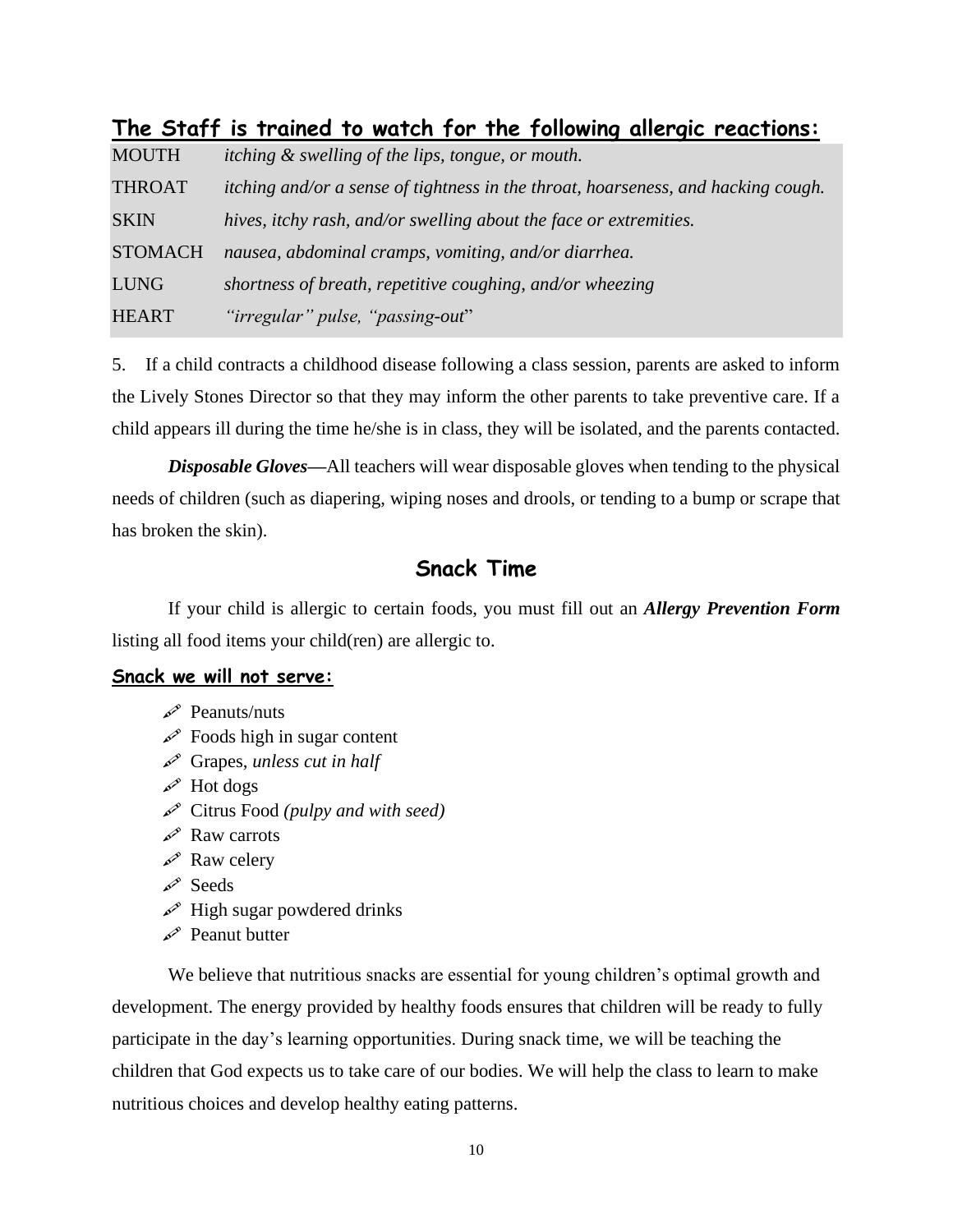| <b>MOUTH</b>   | itching & swelling of the lips, tongue, or mouth.                                 |
|----------------|-----------------------------------------------------------------------------------|
| <b>THROAT</b>  | itching and/or a sense of tightness in the throat, hoarseness, and hacking cough. |
| <b>SKIN</b>    | hives, itchy rash, and/or swelling about the face or extremities.                 |
| <b>STOMACH</b> | nausea, abdominal cramps, vomiting, and/or diarrhea.                              |
| <b>LUNG</b>    | shortness of breath, repetitive coughing, and/or wheezing                         |
| <b>HEART</b>   | "irregular" pulse, "passing-out"                                                  |

#### **The Staff is trained to watch for the following allergic reactions:**

5. If a child contracts a childhood disease following a class session, parents are asked to inform the Lively Stones Director so that they may inform the other parents to take preventive care. If a child appears ill during the time he/she is in class, they will be isolated, and the parents contacted.

*Disposable Gloves—*All teachers will wear disposable gloves when tending to the physical needs of children (such as diapering, wiping noses and drools, or tending to a bump or scrape that has broken the skin).

#### **Snack Time**

If your child is allergic to certain foods, you must fill out an *Allergy Prevention Form* listing all food items your child(ren) are allergic to.

#### **Snack we will not serve:**

- $\mathscr{P}$  Peanuts/nuts
- $\mathscr{P}$  Foods high in sugar content
- Grapes, *unless cut in half*
- $\mathscr{P}$  Hot dogs
- Citrus Food *(pulpy and with seed)*
- $\mathscr{R}$  Raw carrots
- $\mathcal{R}^{\infty}$  Raw celery
- Seeds
- $\mathscr{P}$  High sugar powdered drinks
- Peanut butter

We believe that nutritious snacks are essential for young children's optimal growth and development. The energy provided by healthy foods ensures that children will be ready to fully participate in the day's learning opportunities. During snack time, we will be teaching the children that God expects us to take care of our bodies. We will help the class to learn to make nutritious choices and develop healthy eating patterns.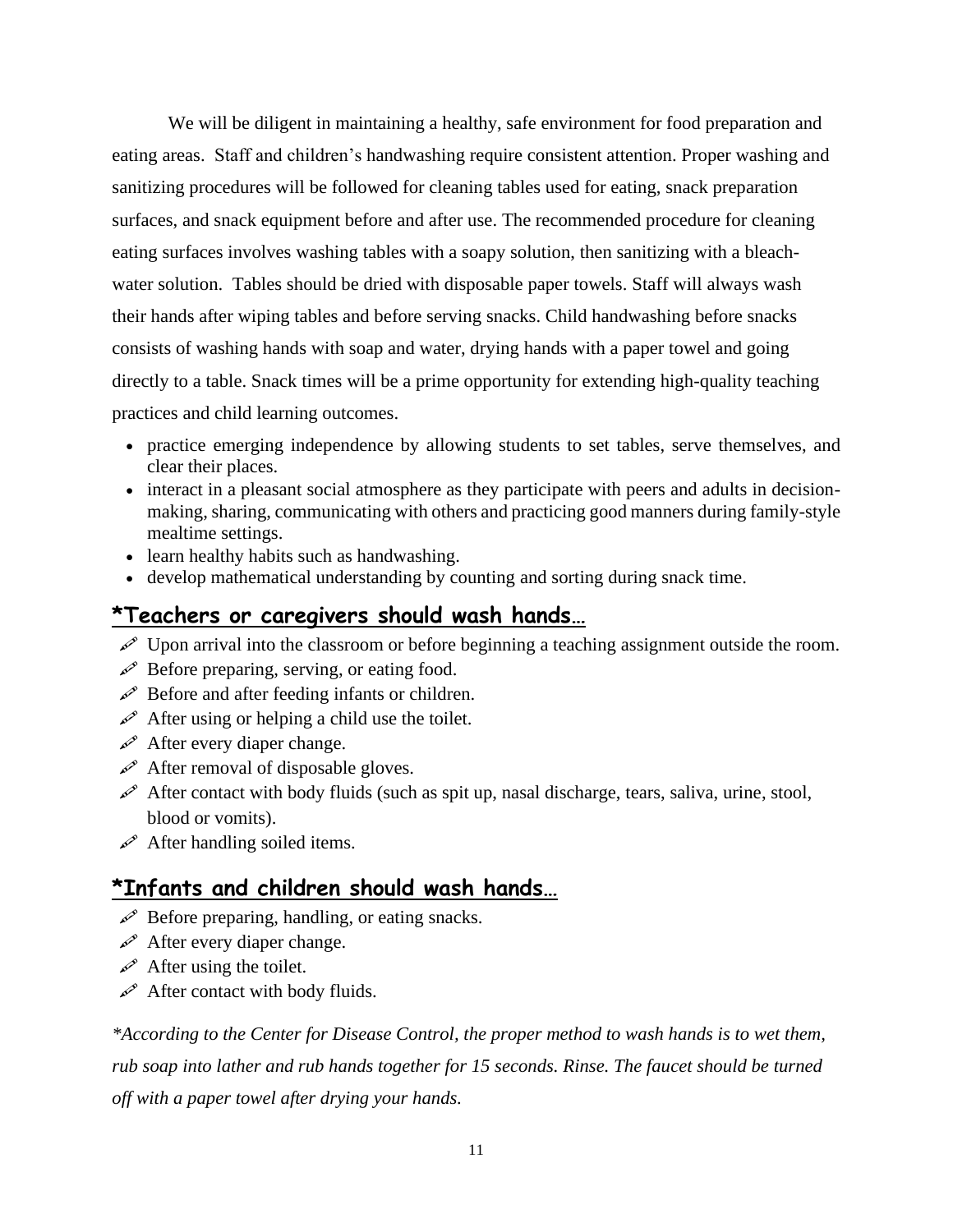We will be diligent in maintaining a healthy, safe environment for food preparation and eating areas. Staff and children's handwashing require consistent attention. Proper washing and sanitizing procedures will be followed for cleaning tables used for eating, snack preparation surfaces, and snack equipment before and after use. The recommended procedure for cleaning eating surfaces involves washing tables with a soapy solution, then sanitizing with a bleachwater solution. Tables should be dried with disposable paper towels. Staff will always wash their hands after wiping tables and before serving snacks. Child handwashing before snacks consists of washing hands with soap and water, drying hands with a paper towel and going directly to a table. Snack times will be a prime opportunity for extending high-quality teaching practices and child learning outcomes.

- practice emerging independence by allowing students to set tables, serve themselves, and clear their places.
- interact in a pleasant social atmosphere as they participate with peers and adults in decisionmaking, sharing, communicating with others and practicing good manners during family-style mealtime settings.
- learn healthy habits such as handwashing.
- develop mathematical understanding by counting and sorting during snack time.

#### **\*Teachers or caregivers should wash hands…**

- $\mathcal{P}$  Upon arrival into the classroom or before beginning a teaching assignment outside the room.
- $\mathscr{P}$  Before preparing, serving, or eating food.
- $\mathscr{P}$  Before and after feeding infants or children.
- After using or helping a child use the toilet.
- $\mathscr{P}$  After every diaper change.
- $\mathscr{P}$  After removal of disposable gloves.
- After contact with body fluids (such as spit up, nasal discharge, tears, saliva, urine, stool, blood or vomits).
- After handling soiled items.

#### **\*Infants and children should wash hands…**

- $\mathscr{P}$  Before preparing, handling, or eating snacks.
- $\mathscr{P}$  After every diaper change.
- After using the toilet.
- $\mathscr{P}$  After contact with body fluids.

*\*According to the Center for Disease Control, the proper method to wash hands is to wet them, rub soap into lather and rub hands together for 15 seconds. Rinse. The faucet should be turned off with a paper towel after drying your hands.*